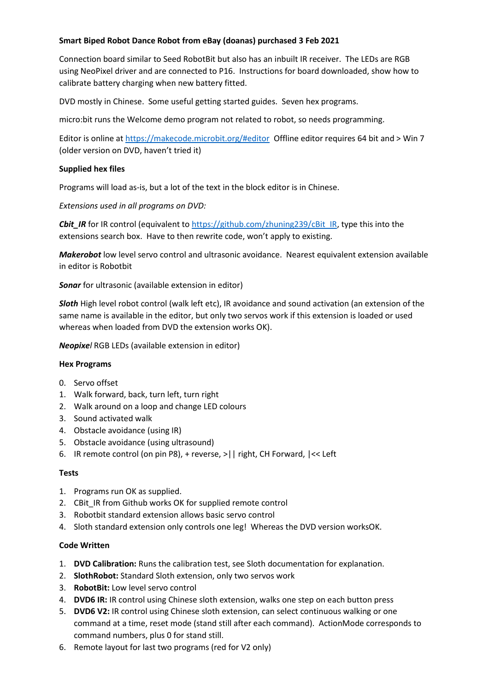# **Smart Biped Robot Dance Robot from eBay (doanas) purchased 3 Feb 2021**

Connection board similar to Seed RobotBit but also has an inbuilt IR receiver. The LEDs are RGB using NeoPixel driver and are connected to P16. Instructions for board downloaded, show how to calibrate battery charging when new battery fitted.

DVD mostly in Chinese. Some useful getting started guides. Seven hex programs.

micro:bit runs the Welcome demo program not related to robot, so needs programming.

Editor is online a[t https://makecode.microbit.org/#editor](https://makecode.microbit.org/#editor) Offline editor requires 64 bit and > Win 7 (older version on DVD, haven't tried it)

### **Supplied hex files**

Programs will load as-is, but a lot of the text in the block editor is in Chinese.

*Extensions used in all programs on DVD:*

**Cbit\_IR** for IR control (equivalent t[o https://github.com/zhuning239/cBit\\_IR,](https://github.com/zhuning239/cBit_IR) type this into the extensions search box. Have to then rewrite code, won't apply to existing.

*Makerobot* low level servo control and ultrasonic avoidance. Nearest equivalent extension available in editor is Robotbit

*Sonar* for ultrasonic (available extension in editor)

*Sloth* High level robot control (walk left etc), IR avoidance and sound activation (an extension of the same name is available in the editor, but only two servos work if this extension is loaded or used whereas when loaded from DVD the extension works OK).

*Neopixel* RGB LEDs (available extension in editor)

### **Hex Programs**

- 0. Servo offset
- 1. Walk forward, back, turn left, turn right
- 2. Walk around on a loop and change LED colours
- 3. Sound activated walk
- 4. Obstacle avoidance (using IR)
- 5. Obstacle avoidance (using ultrasound)
- 6. IR remote control (on pin P8), + reverse, >|| right, CH Forward, |<< Left

### **Tests**

- 1. Programs run OK as supplied.
- 2. CBit\_IR from Github works OK for supplied remote control
- 3. Robotbit standard extension allows basic servo control
- 4. Sloth standard extension only controls one leg! Whereas the DVD version worksOK.

### **Code Written**

- 1. **DVD Calibration:** Runs the calibration test, see Sloth documentation for explanation.
- 2. **SlothRobot:** Standard Sloth extension, only two servos work
- 3. **RobotBit:** Low level servo control
- 4. **DVD6 IR:** IR control using Chinese sloth extension, walks one step on each button press
- 5. **DVD6 V2:** IR control using Chinese sloth extension, can select continuous walking or one command at a time, reset mode (stand still after each command). ActionMode corresponds to command numbers, plus 0 for stand still.
- 6. Remote layout for last two programs (red for V2 only)